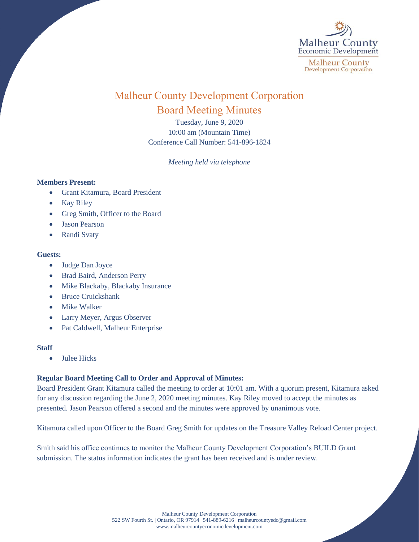

# Malheur County Development Corporation Board Meeting Minutes

Tuesday, June 9, 2020 10:00 am (Mountain Time) Conference Call Number: 541-896-1824

*Meeting held via telephone*

### **Members Present:**

- Grant Kitamura, Board President
- Kay Riley
- Greg Smith, Officer to the Board
- Jason Pearson
- Randi Svaty

## **Guests:**

- Judge Dan Joyce
- Brad Baird, Anderson Perry
- Mike Blackaby, Blackaby Insurance
- Bruce Cruickshank
- Mike Walker
- Larry Meyer, Argus Observer
- Pat Caldwell, Malheur Enterprise

### **Staff**

• Julee Hicks

## **Regular Board Meeting Call to Order and Approval of Minutes:**

Board President Grant Kitamura called the meeting to order at 10:01 am. With a quorum present, Kitamura asked for any discussion regarding the June 2, 2020 meeting minutes. Kay Riley moved to accept the minutes as presented. Jason Pearson offered a second and the minutes were approved by unanimous vote.

Kitamura called upon Officer to the Board Greg Smith for updates on the Treasure Valley Reload Center project.

Smith said his office continues to monitor the Malheur County Development Corporation's BUILD Grant submission. The status information indicates the grant has been received and is under review.